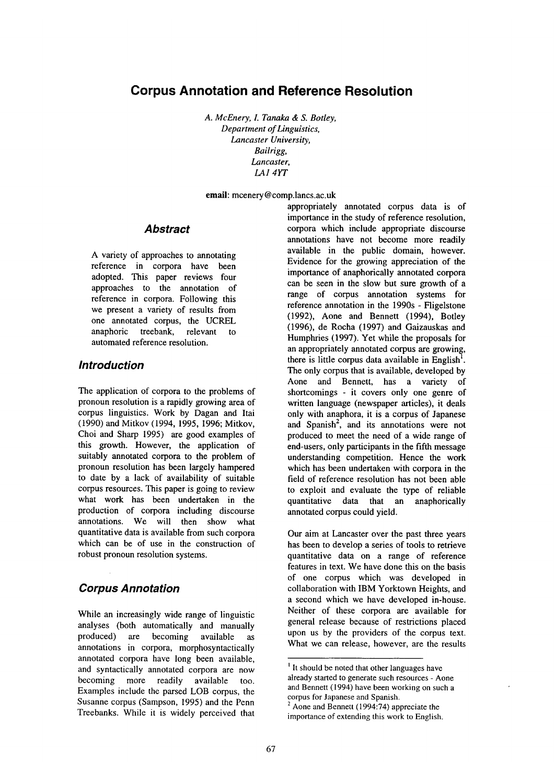# **Corpus Annotation and Reference Resolution**

*A. McEnery, L Tanaka & S. Botley, Department of Linguistics, Lancaster University, Bailrigg, Lancaster, LA1 4YT* 

email: mcenery @ comp.lancs.ac.uk

#### *Abstract*

A variety of approaches to annotating reference in corpora have been adopted. This paper reviews four approaches to the annotation of reference in corpora. Following this we present a variety of results from one annotated corpus, the UCREL anaphoric treebank, relevant to automated reference resolution.

## *Introduction*

The application of corpora to the problems of pronoun resolution is a rapidly growing area of corpus linguistics. Work by Dagan and Itai (1990) and Mitkov (1994, 1995, 1996; Mitkov, Choi and Sharp 1995) are good examples of this growth. However, the application of suitably annotated corpora to the problem of pronoun resolution has been largely hampered to date by a lack of availability of suitable corpus resources. This paper is going to review what work has been undertaken in the production of corpora including discourse annotations. We will then show what quantitative data is available from such corpora which can be of use in the construction of robust pronoun resolution systems.

## *Corpus Annotation*

While an increasingly wide range of linguistic analyses (both automatically and manually produced) are becoming available as annotations in corpora, morphosyntactically annotated corpora have long been available, and syntactically annotated corpora are now becoming more readily available too. Examples include the parsed LOB corpus, the Susanne corpus (Sampson, 1995) and the Penn Treebanks. While it is widely perceived that

appropriately annotated corpus data is of importance in the study of reference resolution, corpora which include appropriate discourse annotations have not become more readily available in the public domain, however. Evidence for the growing appreciation of the importance of anaphorically annotated corpora can be seen in the slow but sure growth of a range of corpus annotation systems for reference annotation in the 1990s - Fligelstone (1992), Aone and Bennett (1994), Botley (1996), de Rocha (1997) and Gaizauskas and Humphries (1997). Yet while the proposals for an appropriately annotated corpus are growing, there is little corpus data available in English<sup>1</sup>. The only corpus that is available, developed by Aone and Bennett, has a variety of shortcomings - it covers only one genre of written language (newspaper articles), it deals only with anaphora, it is a corpus of Japanese and Spanish<sup>2</sup>, and its annotations were not produced to meet the need of a wide range of end-users, only participants in the fifth message understanding competition. Hence the work which has been undertaken with corpora in the field of reference resolution has not been able to exploit and evaluate the type of reliable quantitative data that an anaphorically annotated corpus could yield.

Our aim at Lancaster over the past three years has been to develop a series of tools to retrieve quantitative data on a range of reference features in text. We have done this on the basis of one corpus which was developed in collaboration with IBM Yorktown Heights, and a second which we have developed in-house. Neither of these corpora are available for general release because of restrictions placed upon us by the providers of the corpus text. What we can release, however, are the results

<sup>&</sup>lt;sup>1</sup> It should be noted that other languages have already started to generate such resources - Aone and Bennett (1994) have been working on such a corpus for Japanese and Spanish.

<sup>&</sup>lt;sup>2</sup> Aone and Bennett (1994:74) appreciate the importance of extending this work to English.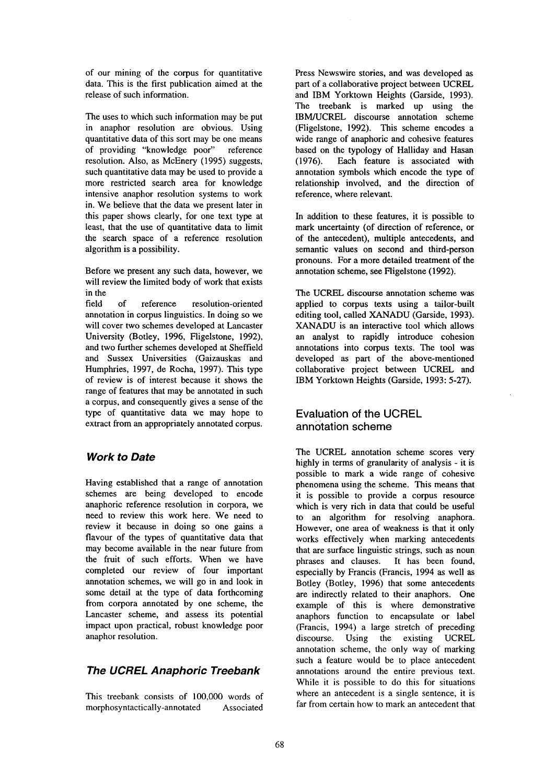of our mining of the corpus for quantitative data. This is the first publication aimed at the release of such information.

The uses to which such information may be put in anaphor resolution are obvious. Using quantitative data of this sort may be one means of providing "knowledge poor" reference resolution. Also, as McEnery (1995) suggests, such quantitative data may be used to provide a more restricted search area for knowledge intensive anaphor resolution systems to work in. We believe that the data we present later in this paper shows clearly, for one text type at least, that the use of quantitative data to limit the search space of a reference resolution algorithm is a possibility.

Before we present any such data, however, we will review the limited body of work that exists in the

field of reference resolution-oriented annotation in corpus linguistics. In doing so we will cover two schemes developed at Lancaster University (Botley, 1996, Fligelstone, 1992), and two further schemes developed at Sheffield and Sussex Universities (Gaizauskas and Humphries, 1997, de Rocha, 1997). This type of review is of interest because it shows the range of features that may be annotated in such a corpus, and consequently gives a sense of the type of quantitative data we may hope to extract from an appropriately annotated corpus.

## *Work to Date*

Having established that a range of annotation schemes are being developed to encode anaphoric reference resolution in corpora, we need to review this work here. We need to review it because in doing so one gains a flavour of the types of quantitative data that may become available in the near future from the fruit of such efforts. When we have completed our review of four important annotation schemes, we will go in and look in some detail at the type of data forthcoming from corpora annotated by one scheme, the Lancaster scheme, and assess its potential impact upon practical, robust knowledge poor anaphor resolution.

## *The UCREL Anaphoric Treebank*

This treebank consists of 100,000 words of morphosyntactically-annotated Associated Press Newswire stories, and was developed as part of a collaborative project between UCREL and IBM Yorktown Heights (Garside, 1993). The treebank is marked up using the IBM/UCREL discourse annotation scheme (Fligelstone, 1992). This scheme encodes a wide range of anaphoric and cohesive features based on the typology of Halliday and Hasan (1976). Each feature is associated with annotation symbols which encode the type of relationship involved, and the direction of reference, where relevant.

In addition to these features, it is possible to mark uncertainty (of direction of reference, or of the antecedent), multiple antecedents, and semantic values on second and third-person pronouns. For a more detailed treatment of the annotation scheme, see Fligelstone (1992).

The UCREL discourse annotation scheme was applied to corpus texts using a tailor-built editing tool, called XANADU (Garside, 1993). XANADU is an interactive tool which allows an analyst to rapidly introduce cohesion annotations into corpus texts. The tool was developed as part of the above-mentioned collaborative project between UCREL and IBM Yorktown Heights (Garside, 1993: 5-27).

#### Evaluation of the UCREL annotation scheme

The UCREL annotation scheme scores very highly in terms of granularity of analysis - it is possible to mark a wide range of cohesive phenomena using the scheme. This means that it is possible to provide a corpus resource which is very rich in data that could be useful to an algorithm for resolving anaphora. However, one area of weakness is that it only works effectively when marking antecedents that are surface linguistic strings, such as noun phrases and clauses. It has been found, especially by Francis (Francis, 1994 as well as Botley (Botley, 1996) that some antecedents are indirectly related to their anaphors. One example of this is where demonstrative anaphors function to encapsulate or label (Francis, 1994) a large stretch of preceding discourse. Using the existing UCREL annotation scheme, the only way of marking such a feature would be to place antecedent annotations around the entire previous text. While it is possible to do this for situations where an antecedent is a single sentence, it is far from certain how to mark an antecedent that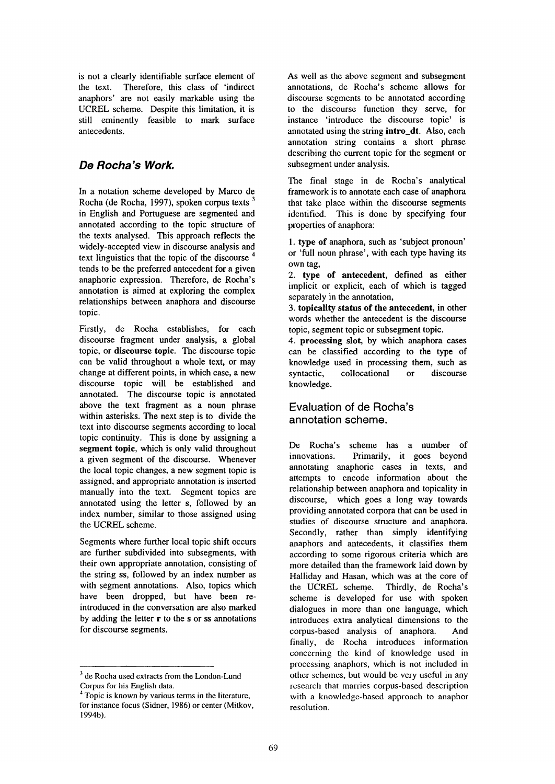is not a clearly identifiable surface element of the text. Therefore, this class of 'indirect anaphors' are not easily markable using the UCREL scheme. Despite this limitation, it is still eminently feasible to mark surface antecedents.

## *De Rocha's Work.*

In a notation scheme developed by Marco de Rocha (de Rocha, 1997), spoken corpus texts 3 in English and Portuguese are segmented and annotated according to the topic structure of the texts analysed. This approach reflects the widely-accepted view in discourse analysis and text linguistics that the topic of the discourse 4 tends to be the preferred antecedent for a given anaphoric expression. Therefore, de Rocha's annotation is aimed at exploring the complex relationships between anaphora and discourse topic.

Firstly, de Rocha establishes, for each discourse fragment under analysis, a global topic, or discourse topic. The discourse topic can be valid throughout a whole text, or may change at different points, in which case, a new discourse topic will be established and annotated. The discourse topic is annotated above the text fragment as a noun phrase within asterisks. The next step is to divide the text into discourse segments according to local topic continuity. This is done by assigning a segment topic, which is only valid throughout a given segment of the discourse. Whenever the local topic changes, a new segment topic is assigned, and appropriate annotation is inserted manually into the text. Segment topics are annotated using the letter s, followed by an index number, similar to those assigned using the UCREL scheme.

Segments where further local topic shift occurs are further subdivided into subsegments, with their own appropriate annotation, consisting of the string ss, followed by an index number as with segment annotations. Also, topics which have been dropped, but have been reintroduced in the conversation are also marked by adding the letter  $r$  to the s or ss annotations for discourse segments.

As well as the above segment and subsegment annotations, de Rocha's scheme allows for discourse segments to be annotated according to the discourse function they serve, for instance 'introduce the discourse topic' is annotated using the string intro\_dt. Also, each annotation string contains a short phrase describing the current topic for the segment or subsegment under analysis.

The final stage in de Rocha's analytical framework is to annotate each case of anaphora that take place within the discourse segments identified. This is done by specifying four properties of anaphora:

!. type of anaphora, such as 'subject pronoun' or 'full noun phrase', with each type having its own tag,

2. type of antecedent, defined as either implicit or explicit, each of which is tagged separately in the annotation,

3. topicality status of the antecedent, in other words whether the antecedent is the discourse topic, segment topic or subsegment topic.

4. processing slot, by which anaphora cases can be classified according to the type of knowledge used in processing them, such as syntactic, collocational or discourse knowledge.

## Evaluation of de Rocha's annotation scheme.

De Rocha's scheme has a number of innovations. Primarily, it goes beyond annotating anaphoric cases in texts, and attempts to encode information about the relationship between anaphora and topicality in discourse, which goes a long way towards providing annotated corpora that can be used in studies of discourse structure and anaphora. Secondly, rather than simply identifying anaphors and antecedents, it classifies them according to some rigorous criteria which are more detailed than the framework laid down by Halliday and Hasan, which was at the core of the UCREL scheme. Thirdly, de Rocha's scheme is developed for use with spoken dialogues in more than one language, which introduces extra analytical dimensions to the corpus-based analysis of anaphora. And finally, de Rocha introduces information concerning the kind of knowledge used in processing anaphors, which is not included in other schemes, but would be very useful in any research that marries corpus-based description with a knowledge-based approach to anaphor resolution.

<sup>&</sup>lt;sup>3</sup> de Rocha used extracts from the London-Lund Corpus for his English data.

 $\Gamma$  Topic is known by various terms in the literature, for instance focus (Sidner, 1986) or center (Mitkov, 1994b).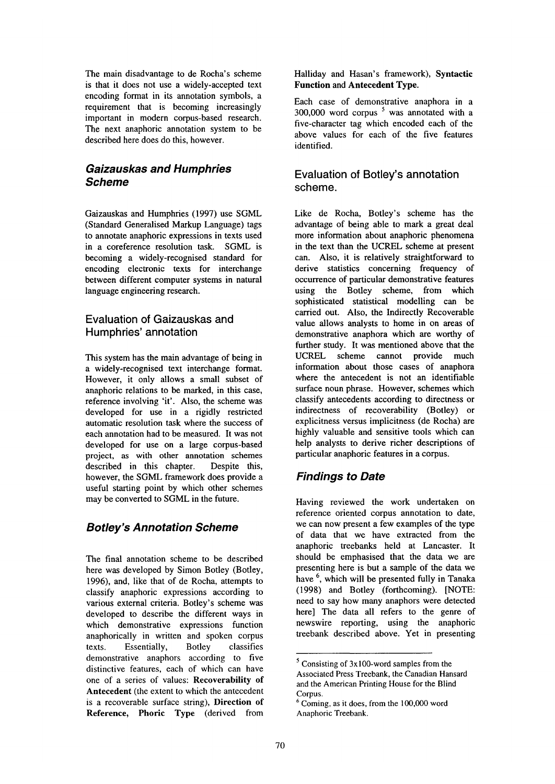The main disadvantage to de Rocha's scheme is that it does not use a widely-accepted text encoding format in its annotation symbols, a requirement that is becoming increasingly important in modern corpus-based research. The next anaphoric annotation system to be described here does do this, however.

## *Gaizauskas and Humphries Scheme*

Gaizauskas and Humphries (1997) use SGML (Standard Generalised Markup Language) tags to annotate anaphoric expressions in texts used in a coreference resolution task. SGML is becoming a widely-recognised standard for encoding electronic texts for interchange between different computer systems in natural language engineering research.

#### **Evaluation of Gaizauskas and Humphries' annotation**

This system has the main advantage of being in a widely-recognised text interchange format. However, it only allows a small subset of anaphoric relations to be marked, in this case, reference involving 'it'. Also, the scheme was developed for use in a rigidly restricted automatic resolution task where the success of each annotation had to be measured. It was not developed for use on a large corpus-based project, as with other annotation schemes described in this chapter. Despite this, however, the SGML framework does provide a useful starting point by which other schemes may be converted to SGML in the future.

# *Botley's Annotation Scheme*

The final annotation scheme to be described here was developed by Simon Botley (Botley, 1996), and, like that of de Rocha, attempts to classify anaphoric expressions according to various external criteria. Botley's scheme was developed to describe the different ways in which demonstrative expressions function anaphorically in written and spoken corpus texts. Essentially, Botley classifies demonstrative anaphors according to five distinctive features, each of which can have one of a series of values: Recoverability **of**  Antecedent (the extent to which the antecedent is a recoverable surface string), Direction **of Reference, Phoric Type** (derived from

#### Hailiday and Hasan's framework), **Syntactic Function and Antecedent Type.**

Each case of demonstrative anaphora in a 300,000 word corpus  $5$  was annotated with a five-character tag which encoded each of the above values for each of the five features identified.

## Evaluation of Botley's annotation scheme.

Like de Rocha, Botley's scheme has the advantage of being able to mark a great deal more information about anaphoric phenomena in the text than the UCREL scheme at present can. Also, it is relatively straightforward to derive statistics concerning frequency of occurrence of particular demonstrative features using the Botley scheme, from which sophisticated statistical modelling can be carried out. Also, the Indirectly Recoverable value allows analysts to home in on areas of demonstrative anaphora which are worthy of further study. It was mentioned above that the UCREL scheme cannot provide much information about those cases of anaphora where the antecedent is not an identifiable surface noun phrase. However, schemes which classify antecedents according to directness or indirectness of recoverability (Botley) or explicitness versus implicitness (de Rocha) are highly valuable and sensitive tools which can help analysts to derive richer descriptions of particular anaphoric features in a corpus.

# *Findings to Date*

Having reviewed the work undertaken on reference oriented corpus annotation to date, we can now present a few examples of the type of data that we have extracted from the anaphoric treebanks held at Lancaster. It should be emphasised that the data we are presenting here is but a sample of the data we have <sup>6</sup>, which will be presented fully in Tanaka (1998) and Botley (forthcoming). [NOTE: need to say how many anaphors were detected here] The data all refers to the genre of newswire reporting, using the anaphoric treebank described above. Yet in presenting

 $<sup>5</sup>$  Consisting of 3x100-word samples from the</sup> Associated Press Treebank, the Canadian Hansard and the American Printing House for the Blind Corpus.

 $6$  Coming, as it does, from the 100,000 word Anaphoric Treebank.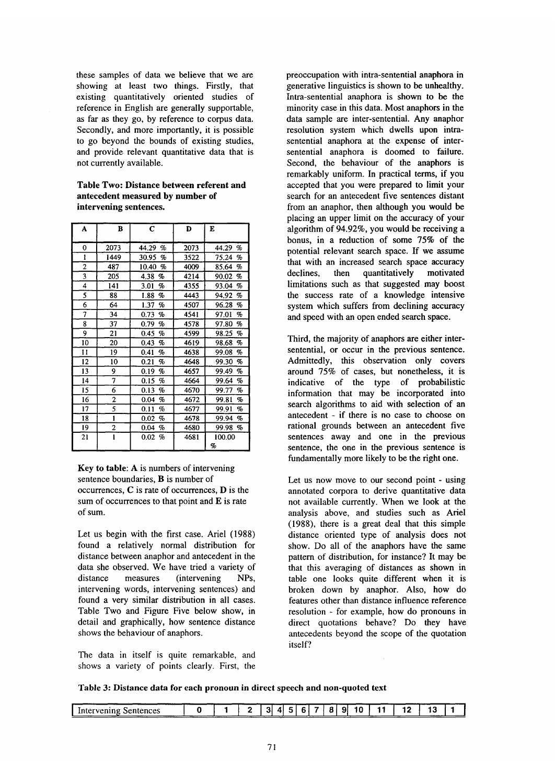these samples of data we believe that we are showing at least two things. Firstly, that existing quantitatively oriented studies of reference in English are generally supportable, as far as they go, by reference to corpus data. Secondly, and more importantly, it is possible to go beyond the bounds of existing studies, and provide relevant quantitative data that is not currently available.

**Table Two: Distance between referent and antecedent measured by number of intervening sentences.** 

| A              | B            | C            | D    | E             |
|----------------|--------------|--------------|------|---------------|
| 0              | 2073         | 44.29<br>%   | 2073 | 44.29<br>$\%$ |
| ı              | 1449         | 30.95<br>%   | 3522 | 75.24<br>$\%$ |
| $\overline{2}$ | 487          | 10.40<br>%   | 4009 | 85.64<br>%    |
| 3              | 205          | 4.38<br>%    | 4214 | 90.02<br>%    |
| 4              | 141          | 3.01<br>%    | 4355 | 93.04<br>%    |
| 5              | 88           | 1.88<br>%    | 4443 | 94.92<br>%    |
| 6              | 64           | 1.37<br>%    | 4507 | 96.28<br>%    |
| 7              | 34           | 0.73<br>Ho   | 4541 | 97.01<br>%    |
| 8              | 37           | 0.79<br>%    | 4578 | 97.80<br>$\%$ |
| 9              | 21           | 0.45<br>%    | 4599 | 98.25<br>%    |
| 10             | 20           | 0.43<br>%    | 4619 | 98.68<br>%    |
| Ħ              | 19           | 0.41<br>$\%$ | 4638 | 99.08<br>%    |
| 12             | 10           | 0.21<br>%    | 4648 | 99.30<br>%    |
| 13             | 9            | 0.19<br>%    | 4657 | 99.49<br>%    |
| 14             | 7            | 0.15<br>%    | 4664 | 99.64<br>%    |
| 15             | 6            | 0.13<br>%    | 4670 | 99.77<br>%    |
| 16             | 2            | 0.04<br>%    | 4672 | 99.81<br>%    |
| 17             | 5            | 0.11<br>%    | 4677 | 99.91<br>%    |
| 18             | 1            | 0.02<br>%    | 4678 | 99.94<br>%    |
| 19             | 2            | 0.04<br>%    | 4680 | 99.98<br>%    |
| 21             | $\mathbf{1}$ | 0.02<br>%    | 4681 | 100.00<br>%   |

**Key to table:** A is numbers of intervening sentence boundaries, B is number of occurrences, C is rate of occurrences, D is the sum of occurrences to that point and E is rate of sum.

Let us begin with the first case. Ariel (1988) found a relatively normal distribution for distance between anaphor and antecedent in the data she observed. We have tried a variety of distance measures (intervening NPs, intervening words, intervening sentences) and found a very similar distribution in all cases. Table Two and Figure Five below show, in detail and graphically, how sentence distance shows the behaviour of anaphors.

The data in itself is quite remarkable, and shows a variety of points clearly. First, the preoccupation with intra-sentential anaphora in generative linguistics is shown to be unhealthy. Intra-sentential anaphora is shown to be the minority case in this data. Most anaphors in the data sample are inter-sentential. Any anaphor resolution system which dwells upon intrasentential anaphora at the expense of intersentential anaphora is doomed to failure. Second, the behaviour of the anaphors is remarkably uniform. In practical terms, if you accepted that you were prepared to limit your search for an antecedent five sentences distant from an anaphor, then although you would be placing an upper limit on the accuracy of your algorithm of 94.92%, you would be receiving a bonus, in a reduction of some 75% of the potential relevant search space. If we assume that with an increased search space accuracy declines, then quantitatively motivated limitations such as that suggested may boost the success rate of a knowledge intensive system which suffers from declining accuracy and speed with an open ended search space.

Third, the majority of anaphors are either intersentential, or occur in the previous sentence. Admittedly, this observation only covers around 75% of cases, but nonetheless, it is indicative of the type of probabilistic information that may be incorporated into search algorithms to aid with selection of an antecedent - if there is no case to choose on rational grounds between an antecedent five sentences away and one in the previous sentence, the one in the previous sentence is fundamentally more likely to be the right one.

Let us now move to our second point - using annotated corpora to derive quantitative data not available currently. When we look at the analysis above, and studies such as Ariel (1988), there is a great deal that this simple distance oriented type of analysis does not show. Do all of the anaphors have the same pattern of distribution, for instance? It may be that this averaging of distances as shown in table one looks quite different when it is broken down by anaphor. Also, how do features other than distance influence reference resolution - for example, how do pronouns in direct quotations behave? Do they have antecedents beyond the scope of the quotation itself?

**Table 3: Distance data for each pronoun in direct speech and non-quoted text** 

| Sentences<br>Intervening |  |  |  | $\mathbf{a}$ | 91 | 10 | 11 | ×. |  |
|--------------------------|--|--|--|--------------|----|----|----|----|--|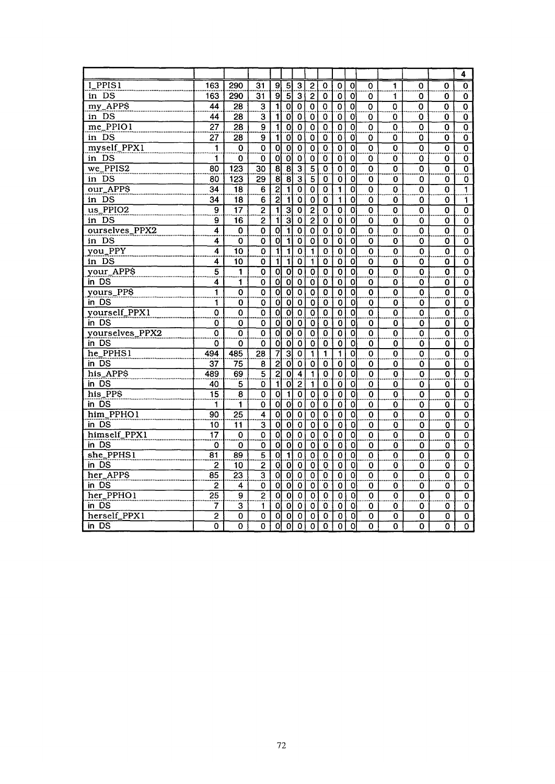|                 |                           |                           |                           |                         |                             |                           |                           |                           |                           |                           |                           |                           |                           |                           | 4                         |
|-----------------|---------------------------|---------------------------|---------------------------|-------------------------|-----------------------------|---------------------------|---------------------------|---------------------------|---------------------------|---------------------------|---------------------------|---------------------------|---------------------------|---------------------------|---------------------------|
| I_PPIS1         | 163                       | 290                       | 31                        | 9 <sub>l</sub>          | $\mathsf{u}$ ị $\mathsf{u}$ | 3                         | $\overline{2}$            | $\pmb{0}$                 | 0                         | $\overline{O}$            | 0                         | 1                         | 0                         | 0                         | $\mathbf 0$               |
| in DS           | 163                       | 290                       | 31                        | _.<br>9                 |                             | $\overline{3}$            | $\overline{2}$            | 0                         | $\mathbf 0$               | $\mathbf{o}$              | O                         | 1                         | 0                         | 0                         | 0                         |
| my_APP\$        | 44                        | 28                        | $\overline{\mathbf{3}}$   | $\overline{\mathbf{1}}$ | $\overline{0}$              | $\overline{\mathfrak{o}}$ | $\overline{0}$            | $\mathbf 0$               | $\overline{\mathbf{0}}$   | $\overline{0}$            | $\overline{\mathbf{0}}$   | $\overline{\mathbf{o}}$   | $\overline{\mathbf{0}}$   | $\overline{\mathbf{o}}$   | $\overline{\mathbf{o}}$   |
| in DS           | 44                        | 28                        | 3                         | $\mathbf{1}$            | 0                           | 0                         | 0                         | 0                         | 0                         | $\mathbf{0}$              | 0                         | 0                         | 0                         | 0                         | 0                         |
| me_PPIO1        | $\overline{27}$           | $\overline{28}$           | 9                         | $\overline{\mathbf{1}}$ | $\overline{\mathfrak{o}}$   | $\mathbf 0$               | $\overline{\mathbf{0}}$   | $\overline{\mathfrak{o}}$ | $\overline{0}$            | $\overline{\mathfrak{o}}$ | $\overline{\mathbf{o}}$   | $\overline{\mathfrak{o}}$ | 0                         | $\mathbf 0$               | ō                         |
| in DS           | 27                        | 28                        | 9                         | -11                     | $\boldsymbol{0}$            | 0                         | 0                         | 0                         | $\mathbf 0$               | 0                         | 0                         | 0                         | 0                         | 0                         | 0                         |
| myself_PPX1     | 1                         | 0                         | $\mathbf 0$               | $\overline{\mathbf{o}}$ | $\overline{\mathbf{0}}$     | $\mathbf 0$               | $\overline{\mathbf{0}}$   | $\mathbf 0$               | $\mathbf 0$               | $\overline{\mathbf{o}}$   | $\overline{\mathfrak{o}}$ | Ö                         | Ö                         | 0                         | 0                         |
| in DS           | 1                         | 0                         | 0                         | ol                      | $\ddot{\mathbf{0}}$         | $\mathbf 0$               | 0                         | 0                         | 0                         | ö                         | 0                         | 0                         | 0                         | 0                         | 0                         |
| $we$ PPIS2      | 80                        | 123                       | $\overline{30}$           | $\overline{8}$          | $\overline{\mathbf{8}}$     | $\overline{\mathbf{3}}$   | $\overline{\mathbf{5}}$   | $\overline{\mathbf{o}}$   | $\overline{\mathfrak{o}}$ | $\overline{\mathbf{o}}$   | $\overline{\mathbf{o}}$   | 0                         | $\overline{\mathfrak{o}}$ | $\overline{\mathfrak{o}}$ | $\overline{\mathfrak{o}}$ |
| in DS           | 80                        | 123                       | 29                        | $\overline{8}$          | $\overline{8}$              | 3                         | 5                         | 0                         | 0                         | 0                         | 0                         | 0                         | 0                         | O                         | 0                         |
| our_APP\$       | $\overline{34}$           | $\overline{18}$           | $\overline{6}$            | <u>laija</u>            | $\mathbf{1}$                | $\mathbf 0$               | $\mathbf 0$               | $\overline{\mathfrak{o}}$ | $\mathbf{1}$              | $\mathbf 0$               | $\Omega$                  | 0                         | 0                         | $\Omega$                  | 1                         |
| in DS           | 34                        | 18                        | 6                         |                         | $\mathbf{1}$                | O                         | $\mathbf 0$               | 0                         | $\mathbf{1}$              | $\mathbf 0$               | 0                         | 0                         | 0                         | 0                         | 1                         |
| us_PPIO2        | 9                         | $\overline{17}$           | $\overline{2}$            | $\mathbf{1}$            | $\overline{\mathbf{3}}$     | $\mathbf 0$               | $\overline{2}$            | 0                         | 0                         | $\overline{\mathbf{0}}$   | $\overline{\mathbf{o}}$   | 0                         | 0                         | 0                         | $\overline{\mathbf{0}}$   |
| in DS           | 9                         | 16                        | $\overline{2}$            | ïl                      | 3                           | $\overline{0}$            | $\overline{2}$            | 0                         | $\mathbf 0$               | ö                         | 0                         | 0                         | 0                         | 0                         | 0                         |
| ourselves_PPX2  | 4                         | $\overline{\mathfrak{o}}$ | $\overline{\mathbf{0}}$   | $\overline{\mathbf{o}}$ | $\overline{\mathbf{1}}$     | $\overline{\mathbf{0}}$   | $\overline{\mathbf{0}}$   | $\overline{\mathbf{o}}$   | $\overline{\mathfrak{o}}$ | $\overline{\mathbf{o}}$   | $\overline{\mathfrak{o}}$ | $\overline{\mathfrak{o}}$ | $\overline{\mathbf{0}}$   | $\overline{\mathbf{0}}$   | $\overline{\mathfrak{o}}$ |
| in DS           | 4                         | 0                         | 0                         | οl                      | $\mathbf{1}$                | 0                         | 0                         | 0                         | 0                         | 0                         | 0                         | 0                         | 0                         | 0                         | 0                         |
| you_PPY         | 4                         | 10                        | 0                         | ī                       | Ï                           | 0                         | $\mathbf{1}$              | $\mathbf 0$               | $\mathbf 0$               | $\overline{\mathfrak{o}}$ | ō                         | $\mathbf 0$               | 0                         | 0                         | $\mathbf 0$               |
| in DS           | 4                         | 10                        | 0                         | آآ                      | $\overline{\mathbf{1}}$     | 0                         | $\mathbf{1}$              | 0                         | 0                         | 0                         | 0                         | 0                         | 0                         | 0                         | 0                         |
| your_APPS       | $\overline{5}$            | 1                         | $\overline{\mathbf{0}}$   | $\overline{\mathbf{o}}$ | 0                           | 0                         | $\overline{\mathbf{o}}$   | $\overline{\mathbf{o}}$   | O                         | $\overline{\mathbf{o}}$   | $\overline{\mathbf{o}}$   | O                         | 0                         | 0                         | 0                         |
| in DS           | 4                         | 1                         | 0                         | Ö                       | $\overline{0}$              | 0                         | $\mathbf 0$               | O                         | 0                         | ö                         | O                         | 0                         | 0                         | 0                         | 0                         |
| yours_PP\$      | Ï                         | ō                         | $\overline{\mathfrak{o}}$ | 이                       | $\overline{\mathbf{o}}$     | 0                         | $\overline{\mathfrak{o}}$ | $\overline{\mathbf{o}}$   | $\overline{\mathbf{o}}$   | 0                         | $\overline{\mathbf{0}}$   | $\overline{\mathfrak{o}}$ | $\overline{\mathbf{o}}$   | 0                         | $\overline{\mathbf{0}}$   |
| in DS           | 1                         | 0                         | 0                         | Ö                       | $\overline{0}$              | O                         | 0                         | 0                         | 0                         | $\mathbf{O}$              | 0                         | 0                         | 0                         | 0                         | 0                         |
| yourself_PPX1   | $\overline{\mathfrak{o}}$ | $\overline{\mathbf{0}}$   | $\overline{\mathbf{o}}$   | $\overline{\mathbf{o}}$ | $\overline{\mathfrak{o}}$   | $\overline{\mathfrak{o}}$ | $\overline{\mathfrak{o}}$ | $\overline{\mathfrak{o}}$ | $\overline{\mathfrak{o}}$ | $\overline{\mathfrak{o}}$ | $\overline{\mathbf{o}}$   | ō                         | $\overline{\mathfrak{o}}$ | $\mathbf 0$               | $\overline{\mathfrak{o}}$ |
| in DS           | 0                         | 0                         | 0                         | $\overline{0}$          | $\overline{0}$              | 0                         | $\mathbf 0$               | 0                         | 0                         | $\mathbf{0}$              | 0                         | 0                         | 0                         | 0                         | 0                         |
| yourselves_PPX2 | $\overline{\mathfrak{o}}$ | 0                         | $\overline{\mathbf{0}}$   | $\overline{\mathbf{o}}$ | $\overline{\mathfrak{o}}$   | $\mathbf 0$               | $\mathbf 0$               | $\overline{\mathbf{o}}$   | $\mathbf 0$               | $\overline{\mathfrak{o}}$ | $\overline{\mathfrak{o}}$ | 0                         | 0                         | 0                         | $\overline{\mathbf{0}}$   |
| in DS           | 0                         | 0                         | 0                         | öİ                      | ö                           | $\mathbf 0$               | 0                         | 0                         | 0                         | ö                         | 0                         | 0                         | 0                         | 0                         | 0                         |
| he_PPHS1        | 494                       | 485                       | 28                        | $\overline{7}$          | $\overline{3}$              | $\mathbf 0$               | 1                         | 1                         | 1                         | $\overline{\mathfrak{o}}$ | $\mathbf 0$               | 0                         | 0                         | 0                         | $\bf{0}$                  |
| in DS           | 37                        | 75                        | 8                         | $\overline{2}$          | o                           | 0                         | 0                         | 0                         | 0                         | 0                         | 0                         | 0                         | 0                         | 0                         | 0                         |
| his_APP\$       | 489                       | 69                        | $\overline{5}$            | $\overline{2}$          | $\overline{\mathfrak{o}}$   | $\overline{4}$            | $\mathbf{1}$              | $\overline{\mathbf{0}}$   | $\overline{\mathfrak{o}}$ | 0                         | $\overline{\mathbf{o}}$   | $\overline{\mathfrak{o}}$ | $\overline{\mathfrak{o}}$ | 0                         | $\overline{\mathfrak{o}}$ |
| in DS           | 40                        | 5                         | 0                         | 1 <sup>1</sup>          | $\overline{0}$              | $\overline{2}$            | $\mathbf{1}$              | 0                         | $\mathbf 0$               | 0                         | 0                         | 0                         | 0                         | 0                         | 0                         |
| his_PP\$        | $\overline{15}$           | $\overline{\mathbf{8}}$   | $\overline{0}$            | 이                       | $\overline{\mathbf{1}}$     | 0                         | $\overline{\mathfrak{o}}$ | $\overline{\mathbf{o}}$   | $\overline{\mathbf{0}}$   | $\overline{\mathfrak{o}}$ | $\overline{\mathbf{o}}$   | 0                         | 0                         | 0                         | $\overline{\mathfrak{o}}$ |
| in DS           | 1                         | 1                         | 0                         | 0                       | $\overline{0}$              | $\mathbf 0$               | 0                         | 0                         | $\mathbf o$               | Ö                         | 0                         | 0                         | 0                         | 0                         | 0                         |
| him_PPHO1       | 90                        | 25                        | 4                         | $\overline{\mathbf{o}}$ | $\overline{\mathbf{0}}$     | 0                         | $\mathbf 0$               | $\mathbf 0$               | 0                         | $\overline{0}$            | $\mathbf 0$               | Ō                         | 0                         | 0                         | 0                         |
| in DS           | 10                        | 11                        | $\overline{\mathbf{3}}$   | ö                       | 0                           | 0                         | 0                         | 0                         | $\mathbf 0$               | ö                         | 0                         | 0                         | 0                         | 0                         | 0                         |
| himself_PPX1    | $\overline{17}$           | 0                         | $\overline{\mathbf{o}}$   | 이                       | $\overline{0}$              | $\overline{\mathbf{0}}$   | $\overline{\mathbf{0}}$   | $\overline{\mathbf{o}}$   | $\overline{\mathfrak{o}}$ | $\overline{\mathfrak{o}}$ | $\overline{0}$            | $\overline{\mathfrak{o}}$ | $\overline{\mathbf{o}}$   | 0                         | $\overline{\mathfrak{o}}$ |
| in DS           | 0                         | 0                         | 0                         | Ol                      | Ö                           | 0                         | 0                         | 0                         | 0                         | 0                         | 0                         | 0                         | 0                         | 0                         | 0                         |
| $she$ -PPHS1    | 81                        | 89                        | $\overline{5}$            | $\overline{\mathbf{o}}$ | $\overline{\mathbf{1}}$     | 0                         | $\mathbf 0$               | $\overline{\mathfrak{o}}$ | $\overline{\mathfrak{o}}$ | 6                         | $\overline{\mathfrak{o}}$ | $\overline{\mathfrak{o}}$ | ō                         | 0                         | $\overline{\mathfrak{o}}$ |
| in DS           | $\overline{2}$            | 10                        | $\overline{c}$            | $\overline{0}$          | 0                           | 0                         | 0                         | 0                         | 0                         | 0                         | 0                         | 0                         | 0                         | 0                         | 0                         |
| her APPS        | $\overline{85}$           | $\overline{23}$           | $\overline{\overline{3}}$ | $\overline{0}$          | $\overline{\mathbf{o}}$     | $\mathbf 0$               | $\overline{0}$            | $\overline{0}$            | $\overline{0}$            | $\overline{\mathfrak{o}}$ | $\overline{0}$            | $\overline{\mathfrak{o}}$ | $\overline{\mathbf{o}}$   | 0                         | $\overline{0}$            |
| in DS           | 2                         | 4                         | 0                         | $\ddot{\mathbf{Q}}$     | 0                           | 0                         | 0                         | 0                         | 0                         | Ö                         | 0                         | 0                         | 0                         | 0                         | 0                         |
| her_PPHO1       | 25                        | $\overline{9}$            | $\overline{2}$            | ᅙ                       | $\overline{\mathfrak{o}}$   | $\mathbf 0$               | $\mathbf 0$               | 0                         | 0                         | $\overline{\mathfrak{o}}$ | 0                         | 0                         | 0                         | 0                         | 0                         |
| in DS           | 7                         | $\overline{\mathbf{3}}$   | 1                         | Οl                      | 0                           | 0                         | 0                         | 0                         | 0                         | 0                         | 0                         | 0                         | 0                         | 0                         | 0                         |
| herself_PPX1    | $\overline{2}$            | 0                         | 0                         | o                       | $\overline{\mathbf{o}}$     | $\mathbf 0$               | 0                         | 0                         | 0                         | $\mathbf 0$               | 0                         | 0                         | 0                         | 0                         | 0                         |
| in DS           | 0                         | 0                         | $\overline{\mathfrak{o}}$ | न                       | $\overline{\mathfrak{o}}$   | $\overline{\mathfrak{o}}$ | $\overline{\mathfrak{o}}$ | $\overline{\mathbf{0}}$   | $\overline{\mathfrak{o}}$ | $\Omega$                  | 0                         | 0                         | 0                         | $\Omega$                  | 0                         |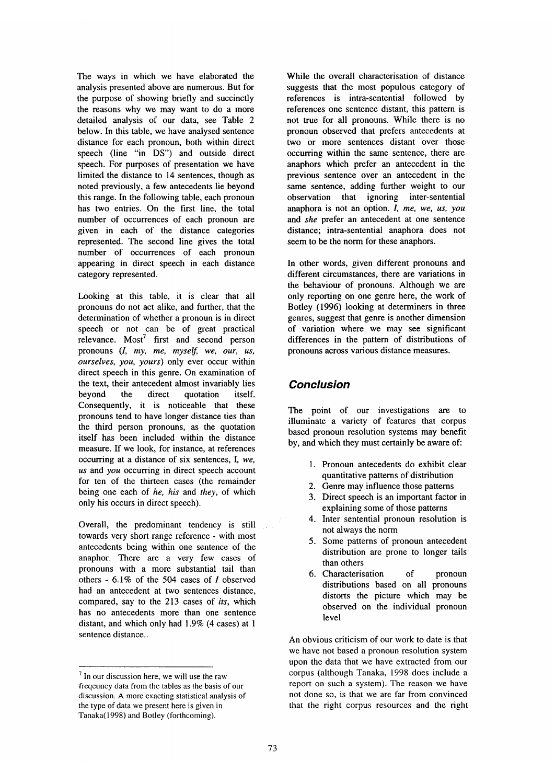The ways in which we have elaborated the analysis presented above are numerous. But for the purpose of showing briefly and succinctly the reasons why we may want to do a more detailed analysis of our data, see Table 2 below. In this table, we have analysed sentence distance for each pronoun, both within direct speech (line "in DS") and outside direct speech. For purposes of presentation we have limited the distance to 14 sentences, though as noted previously, a few antecedents lie beyond this range. In the following table, each pronoun has two entries. On the first line, the total number of occurrences of each pronoun are given in each of the distance categories represented. The second line gives the total number of occurrences of each pronoun appearing in direct speech in each distance category represented.

Looking at this table, it is clear that all pronouns do not act alike, and further, that the determination of whether a pronoun is in direct speech or not can be of great practical relevance. Most' first and second person pronouns *(I, my, me, myself, we, our, us, ourselves, you, yours)* only ever occur within direct speech in this genre. On examination of the text, their antecedent almost invariably lies beyond the direct quotation itself. Consequently, it is noticeable that these pronouns tend to have longer distance ties than the third person pronouns, as the quotation itself has been included within the distance measure. If we look, for instance, at references occurring at a distance of six sentences, I, *we, us* and *you* occurring in direct speech account for ten of the thirteen cases (the remainder being one each of *he, his* and *they,* of which only his occurs in direct speech).

Overall, the predominant tendency is still towards very short range reference - with most antecedents being within one sentence of the anaphor. There are a very few cases of pronouns with a more substantial tail than others - 6.1% of the 504 cases of I observed had an antecedent at two sentences distance, compared, say to the 213 cases of *its,* which has no antecedents more than one sentence distant, and which only had 1.9% (4 cases) at 1 sentence distance..

While the overall characterisation of distance suggests that the most populous category of references is intra-sentential followed by references one sentence distant, this pattern is not true for all pronouns. While there is no pronoun observed that prefers antecedents at two or more sentences distant over those occurring within the same sentence, there are anaphors which prefer an antecedent in the previous sentence over an antecedent in the same sentence, adding further weight to our observation that ignoring inter-sentential anaphora is not an option. *I, me, we, us, you*  and *she* prefer an antecedent at one sentence distance; intra-sentential anaphora does not seem to be the norm for these anaphors.

In other words, given different pronouns and different circumstances, there are variations in the behaviour of pronouns. Although we are only reporting on one genre here, the work of Botley (1996) looking at determiners in three genres, suggest that genre is another dimension of variation where we may see significant differences in the pattern of distributions of pronouns across various distance measures.

## *Conclusion*

The point of our investigations are to illuminate a variety of features that corpus based pronoun resolution systems may benefit by, and which they must certainly be aware of:

- 1. Pronoun antecedents do exhibit clear quantitative patterns of distribution
- 2. Genre may influence those patterns
- 3. Direct speech is an important factor in explaining some of those patterns
- 4. Inter sentential pronoun resolution is not always the norm
- 5. Some patterns of pronoun antecedent distribution are prone to longer tails than others
- 6. Characterisation of pronoun distributions based on all pronouns distorts the picture which may be observed on the individual pronoun level

An obvious criticism of our work to date is that we have not based a pronoun resolution system upon the data that we have extracted from our corpus (although Tanaka, 1998 does include a report on such a system). The reason we have not done so, is that we are far from convinced that the right corpus resources and the right

<sup>7</sup> In our discussion here, we will use the raw freqeuncy data from the tables as the basis of our discussion. A more exacting statistical analysis of the type of data we present here is given in Tanaka(1998) and Botley (forthcoming).